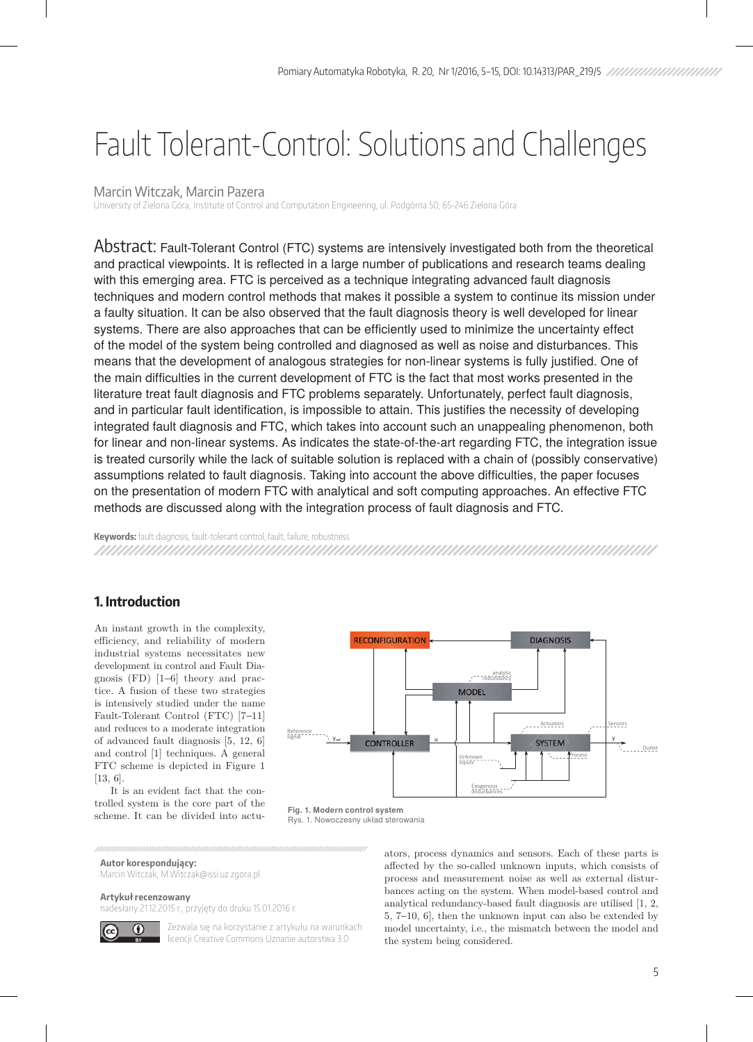# Fault Tolerant-Control: Solutions and Challenges

## Marcin Witczak, Marcin Pazera

University of Zielona Góra, Institute of Control and Computation Engineering, ul. Podgórna 50, 65-246 Zielona Góra

Abstract: Fault-Tolerant Control (FTC) systems are intensively investigated both from the theoretical and practical viewpoints. It is reflected in a large number of publications and research teams dealing with this emerging area. FTC is perceived as a technique integrating advanced fault diagnosis techniques and modern control methods that makes it possible a system to continue its mission under a faulty situation. It can be also observed that the fault diagnosis theory is well developed for linear systems. There are also approaches that can be efficiently used to minimize the uncertainty effect of the model of the system being controlled and diagnosed as well as noise and disturbances. This means that the development of analogous strategies for non-linear systems is fully justified. One of the main difficulties in the current development of FTC is the fact that most works presented in the literature treat fault diagnosis and FTC problems separately. Unfortunately, perfect fault diagnosis, and in particular fault identification, is impossible to attain. This justifies the necessity of developing integrated fault diagnosis and FTC, which takes into account such an unappealing phenomenon, both for linear and non-linear systems. As indicates the state-of-the-art regarding FTC, the integration issue is treated cursorily while the lack of suitable solution is replaced with a chain of (possibly conservative) assumptions related to fault diagnosis. Taking into account the above difficulties, the paper focuses on the presentation of modern FTC with analytical and soft computing approaches. An effective FTC methods are discussed along with the integration process of fault diagnosis and FTC.

**Keywords:** fault diagnosis, fault-tolerant control, fault, failure, robustness

# **1. Introduction**

An instant growth in the complexity, efficiency, and reliability of modern industrial systems necessitates new development in control and Fault Diagnosis (FD) [1−6] theory and practice. A fusion of these two strategies is intensively studied under the name Fault-Tolerant Control (FTC) [7−11] and reduces to a moderate integration of advanced fault diagnosis [5, 12, 6] and control [1] techniques. A general FTC scheme is depicted in Figure 1 [13, 6].

It is an evident fact that the controlled system is the core part of the scheme. It can be divided into actu-



**Fig. 1. Modern control system** Rys. 1. Nowoczesny układ sterowania

**Autor korespondujący:** 

Marcin Witczak, M.Witczak@issi.uz.zgora.pl

**Artykuł recenzowany**

nadesłany 21.12.2015 r., przyjęty do druku 15.01.2016 r.

 $\bigcirc$ 

Zezwala się na korzystanie z artykułu na warunkach licencji Creative Commons Uznanie autorstwa 3.0

ators, process dynamics and sensors. Each of these parts is affected by the so-called unknown inputs, which consists of process and measurement noise as well as external disturbances acting on the system. When model-based control and analytical redundancy-based fault diagnosis are utilised [1, 2, 5, 7−10, 6], then the unknown input can also be extended by model uncertainty, i.e., the mismatch between the model and the system being considered.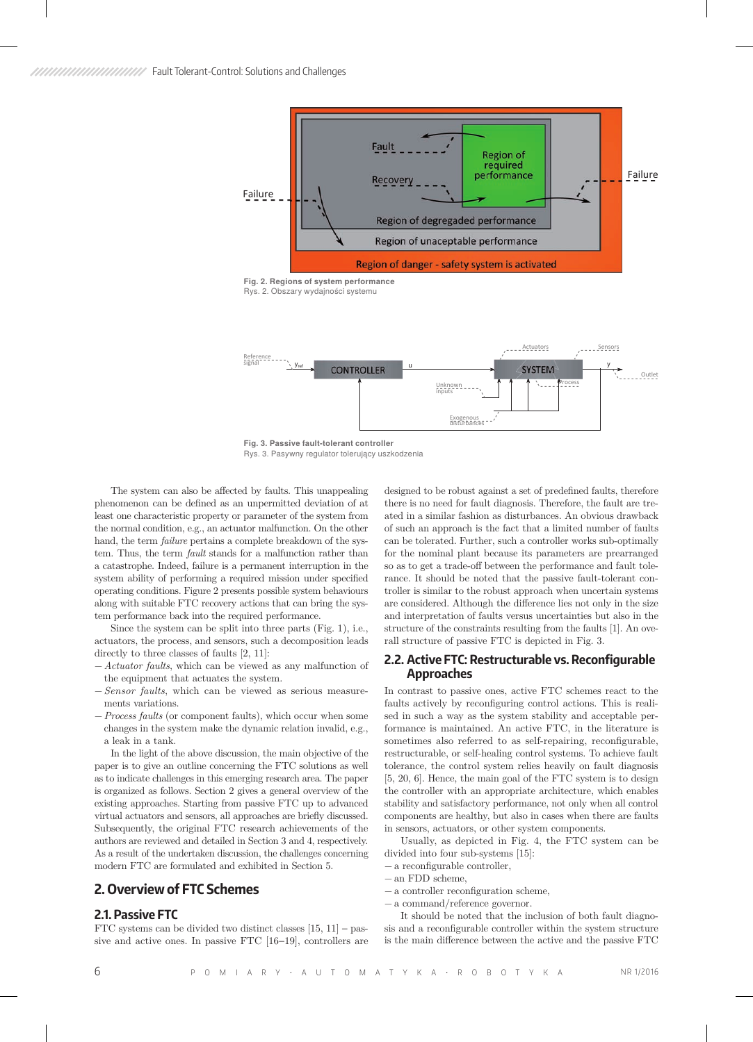

Exogenous<br>disturbances

**Fig. 3. Passive fault-tolerant controller** Rys. 3. Pasywny regulator tolerujący uszkodzenia

The system can also be affected by faults. This unappealing phenomenon can be defined as an unpermitted deviation of at least one characteristic property or parameter of the system from the normal condition, e.g., an actuator malfunction. On the other hand, the term *failure* pertains a complete breakdown of the system. Thus, the term *fault* stands for a malfunction rather than a catastrophe. Indeed, failure is a permanent interruption in the system ability of performing a required mission under specified operating conditions. Figure 2 presents possible system behaviours along with suitable FTC recovery actions that can bring the system performance back into the required performance.

Since the system can be split into three parts (Fig. 1), i.e., actuators, the process, and sensors, such a decomposition leads directly to three classes of faults [2, 11]:

- − *Actuator faults*, which can be viewed as any malfunction of the equipment that actuates the system.
- − *Sensor faults*, which can be viewed as serious measurements variations.
- − *Process faults* (or component faults), which occur when some changes in the system make the dynamic relation invalid, e.g., a leak in a tank.

In the light of the above discussion, the main objective of the paper is to give an outline concerning the FTC solutions as well as to indicate challenges in this emerging research area. The paper is organized as follows. Section 2 gives a general overview of the existing approaches. Starting from passive FTC up to advanced virtual actuators and sensors, all approaches are briefly discussed. Subsequently, the original FTC research achievements of the authors are reviewed and detailed in Section 3 and 4, respectively. As a result of the undertaken discussion, the challenges concerning modern FTC are formulated and exhibited in Section 5.

## **2. Overview of FTC Schemes**

#### **2.1. Passive FTC**

FTC systems can be divided two distinct classes  $[15, 11]$  – passive and active ones. In passive FTC [16−19], controllers are designed to be robust against a set of predefined faults, therefore there is no need for fault diagnosis. Therefore, the fault are treated in a similar fashion as disturbances. An obvious drawback of such an approach is the fact that a limited number of faults can be tolerated. Further, such a controller works sub-optimally for the nominal plant because its parameters are prearranged so as to get a trade-off between the performance and fault tolerance. It should be noted that the passive fault-tolerant controller is similar to the robust approach when uncertain systems are considered. Although the difference lies not only in the size and interpretation of faults versus uncertainties but also in the structure of the constraints resulting from the faults [1]. An overall structure of passive FTC is depicted in Fig. 3.

#### **2.2. Active FTC: Restructurable vs. Reconfigurable Approaches**

In contrast to passive ones, active FTC schemes react to the faults actively by reconfiguring control actions. This is realised in such a way as the system stability and acceptable performance is maintained. An active FTC, in the literature is sometimes also referred to as self-repairing, reconfigurable, restructurable, or self-healing control systems. To achieve fault tolerance, the control system relies heavily on fault diagnosis [5, 20, 6]. Hence, the main goal of the FTC system is to design the controller with an appropriate architecture, which enables stability and satisfactory performance, not only when all control components are healthy, but also in cases when there are faults in sensors, actuators, or other system components.

Usually, as depicted in Fig. 4, the FTC system can be divided into four sub-systems [15]:

- − a reconfigurable controller,
- − an FDD scheme,
- − a controller reconfiguration scheme,
- − a command/reference governor.

It should be noted that the inclusion of both fault diagnosis and a reconfigurable controller within the system structure is the main difference between the active and the passive FTC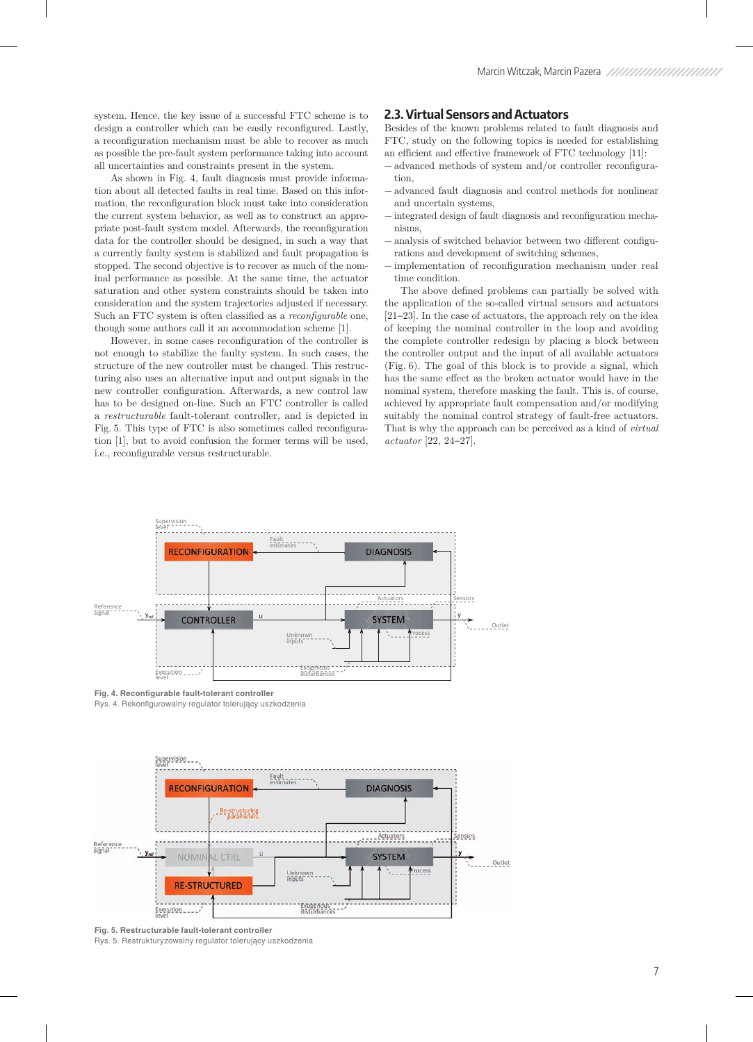system. Hence, the key issue of a successful FTC scheme is to design a controller which can be easily reconfigured. Lastly, a reconfiguration mechanism must be able to recover as much as possible the pre-fault system performance taking into account all uncertainties and constraints present in the system.

As shown in Fig. 4, fault diagnosis must provide information about all detected faults in real time. Based on this information, the reconfiguration block must take into consideration the current system behavior, as well as to construct an appropriate post-fault system model. Afterwards, the reconfiguration data for the controller should be designed, in such a way that a currently faulty system is stabilized and fault propagation is stopped. The second objective is to recover as much of the nominal performance as possible. At the same time, the actuator saturation and other system constraints should be taken into consideration and the system trajectories adjusted if necessary. Such an FTC system is often classified as a *reconfigurable* one, though some authors call it an accommodation scheme [1].

However, in some cases reconfiguration of the controller is not enough to stabilize the faulty system. In such cases, the structure of the new controller must be changed. This restructuring also uses an alternative input and output signals in the new controller configuration. Afterwards, a new control law has to be designed on-line. Such an FTC controller is called a *restructurable* fault-tolerant controller, and is depicted in Fig. 5. This type of FTC is also sometimes called reconfiguration [1], but to avoid confusion the former terms will be used, i.e., reconfigurable versus restructurable.

#### **2.3. Virtual Sensors and Actuators**

Besides of the known problems related to fault diagnosis and FTC, study on the following topics is needed for establishing an efficient and effective framework of FTC technology [11]:

- − advanced methods of system and/or controller reconfiguration,
- − advanced fault diagnosis and control methods for nonlinear and uncertain systems,
- − integrated design of fault diagnosis and reconfiguration mechanisms,
- − analysis of switched behavior between two different configurations and development of switching schemes,
- − implementation of reconfiguration mechanism under real time condition.

The above defined problems can partially be solved with the application of the so-called virtual sensors and actuators [21−23]. In the case of actuators, the approach rely on the idea of keeping the nominal controller in the loop and avoiding the complete controller redesign by placing a block between the controller output and the input of all available actuators (Fig. 6). The goal of this block is to provide a signal, which has the same effect as the broken actuator would have in the nominal system, therefore masking the fault. This is, of course, achieved by appropriate fault compensation and/or modifying suitably the nominal control strategy of fault-free actuators. That is why the approach can be perceived as a kind of *virtual actuator* [22, 24−27].



**Fig. 4. Reconfigurable fault-tolerant controller**





**Fig. 5. Restructurable fault-tolerant controller**

Rys. 5. Restrukturyzowalny regulator tolerujący uszkodzenia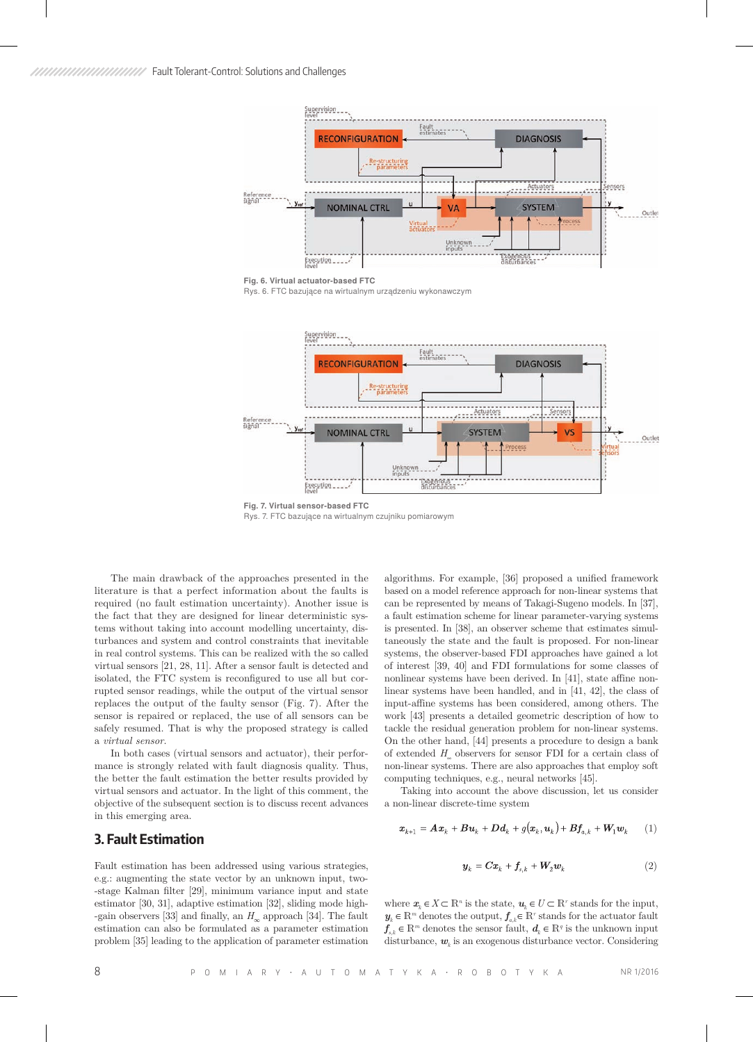

**Fig. 6. Virtual actuator-based FTC**

Rys. 6. FTC bazujące na wirtualnym urządzeniu wykonawczym



**Fig. 7. Virtual sensor-based FTC**

Rys. 7. FTC bazujące na wirtualnym czujniku pomiarowym

The main drawback of the approaches presented in the literature is that a perfect information about the faults is required (no fault estimation uncertainty). Another issue is the fact that they are designed for linear deterministic systems without taking into account modelling uncertainty, disturbances and system and control constraints that inevitable in real control systems. This can be realized with the so called virtual sensors [21, 28, 11]. After a sensor fault is detected and isolated, the FTC system is reconfigured to use all but corrupted sensor readings, while the output of the virtual sensor replaces the output of the faulty sensor (Fig. 7). After the sensor is repaired or replaced, the use of all sensors can be safely resumed. That is why the proposed strategy is called a *virtual sensor*.

In both cases (virtual sensors and actuator), their performance is strongly related with fault diagnosis quality. Thus, the better the fault estimation the better results provided by virtual sensors and actuator. In the light of this comment, the objective of the subsequent section is to discuss recent advances in this emerging area.

# **3. Fault Estimation**

Fault estimation has been addressed using various strategies, e.g.: augmenting the state vector by an unknown input, two- -stage Kalman filter [29], minimum variance input and state estimator [30, 31], adaptive estimation [32], sliding mode high- -gain observers [33] and finally, an *H*∞ approach [34]. The fault estimation can also be formulated as a parameter estimation problem [35] leading to the application of parameter estimation

algorithms. For example, [36] proposed a unified framework based on a model reference approach for non-linear systems that can be represented by means of Takagi-Sugeno models. In [37], a fault estimation scheme for linear parameter-varying systems is presented. In [38], an observer scheme that estimates simultaneously the state and the fault is proposed. For non-linear systems, the observer-based FDI approaches have gained a lot of interest [39, 40] and FDI formulations for some classes of nonlinear systems have been derived. In [41], state affine nonlinear systems have been handled, and in [41, 42], the class of input-affine systems has been considered, among others. The work [43] presents a detailed geometric description of how to tackle the residual generation problem for non-linear systems. On the other hand, [44] presents a procedure to design a bank of extended *H*∞ observers for sensor FDI for a certain class of non-linear systems. There are also approaches that employ soft computing techniques, e.g., neural networks [45].

Taking into account the above discussion, let us consider a non-linear discrete-time system

$$
\boldsymbol{x}_{k+1} = \boldsymbol{A}\boldsymbol{x}_k + \boldsymbol{B}\boldsymbol{u}_k + \boldsymbol{D}\boldsymbol{d}_k + g(\boldsymbol{x}_k, \boldsymbol{u}_k) + \boldsymbol{B}\boldsymbol{f}_{a,k} + \boldsymbol{W}_1\boldsymbol{w}_k \qquad (1)
$$

$$
\mathbf{y}_k = \mathbf{C}\mathbf{x}_k + \mathbf{f}_{s,k} + \mathbf{W}_2 \mathbf{w}_k \tag{2}
$$

where  $\mathbf{x}_k \in X \subset \mathbb{R}^n$  is the state,  $\mathbf{u}_k \in U \subset \mathbb{R}^r$  stands for the input,  $\textbf{\emph{y}}_{k} \in \mathbb{R}^{m}$  denotes the output,  $\textbf{\emph{f}}_{a,k} \in \mathbb{R}^{r}$  stands for the actuator fault *f*<sub>*s,k</sub>* ∈  $\mathbb{R}^m$  denotes the sensor fault,  $d_k$  ∈  $\mathbb{R}^q$  is the unknown input</sub> disturbance,  $\mathbf{w}_k$  is an exogenous disturbance vector. Considering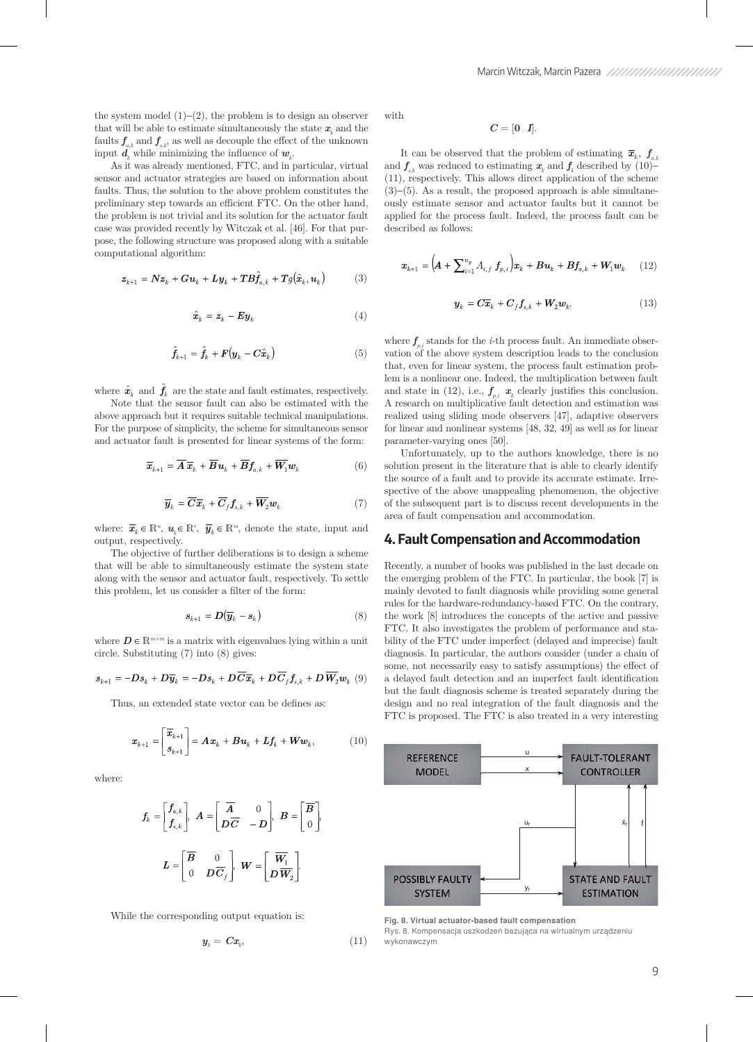the system model  $(1)–(2)$ , the problem is to design an observer that will be able to estimate simultaneously the state  $x_k$  and the faults  $f_{ak}$  and  $f_{sk}$ , as well as decouple the effect of the unknown input  $d_k$  while minimizing the influence of  $w_k$ .

As it was already mentioned, FTC, and in particular, virtual sensor and actuator strategies are based on information about faults. Thus, the solution to the above problem constitutes the preliminary step towards an efficient FTC. On the other hand, the problem is not trivial and its solution for the actuator fault case was provided recently by Witczak et al. [46]. For that purpose, the following structure was proposed along with a suitable computational algorithm:

$$
\boldsymbol{z}_{k+1} = \boldsymbol{N} \boldsymbol{z}_k + \boldsymbol{G} \boldsymbol{u}_k + \boldsymbol{L} \boldsymbol{y}_k + \boldsymbol{T} \boldsymbol{B} \boldsymbol{f}_{a,k} + \boldsymbol{T} g(\hat{\boldsymbol{x}}_k, \boldsymbol{u}_k) \tag{3}
$$

$$
\hat{\boldsymbol{x}}_k = \boldsymbol{z}_k - \boldsymbol{E} \boldsymbol{y}_k \tag{4}
$$

$$
\hat{f}_{k+1} = \hat{f}_k + F(\mathbf{y}_k - C\hat{\mathbf{x}}_k)
$$
\n(5)

where  $\hat{\boldsymbol{x}}_k$  and  $\hat{\boldsymbol{f}}_k$  are the state and fault estimates, respectively.

Note that the sensor fault can also be estimated with the above approach but it requires suitable technical manipulations. For the purpose of simplicity, the scheme for simultaneous sensor and actuator fault is presented for linear systems of the form:

$$
\overline{\boldsymbol{x}}_{k+1} = \overline{\boldsymbol{A}} \, \overline{\boldsymbol{x}}_k + \overline{\boldsymbol{B}} \, \boldsymbol{u}_k + \overline{\boldsymbol{B}} \, \boldsymbol{f}_{a,k} + \overline{\boldsymbol{W}}_1 \boldsymbol{w}_k \tag{6}
$$

$$
\overline{\boldsymbol{y}}_k = \overline{\boldsymbol{C}} \overline{\boldsymbol{x}}_k + \overline{\boldsymbol{C}}_f \boldsymbol{f}_{s,k} + \overline{\boldsymbol{W}}_2 \boldsymbol{w}_k \tag{7}
$$

where:  $\overline{x}_k \in \mathbb{R}^n$ ,  $u_k \in \mathbb{R}^r$ ,  $\overline{y}_k \in \mathbb{R}^m$ , denote the state, input and output, respectively.

The objective of further deliberations is to design a scheme that will be able to simultaneously estimate the system state along with the sensor and actuator fault, respectively. To settle this problem, let us consider a filter of the form:

$$
\boldsymbol{s}_{k+1} = \boldsymbol{D}(\overline{\boldsymbol{y}}_k - \boldsymbol{s}_k) \tag{8}
$$

where  $D \in \mathbb{R}^{m \times m}$  is a matrix with eigenvalues lying within a unit circle. Substituting (7) into (8) gives:

$$
\mathbf{s}_{k+1} = -D\mathbf{s}_k + D\overline{\mathbf{y}}_k = -D\mathbf{s}_k + D\overline{C}\overline{\mathbf{x}}_k + D\overline{C}_f\mathbf{f}_{\mathbf{s},k} + D\overline{\mathbf{W}}_2\mathbf{w}_k \tag{9}
$$

Thus, an extended state vector can be defines as:

$$
\boldsymbol{x}_{k+1} = \begin{bmatrix} \overline{\boldsymbol{x}}_{k+1} \\ \boldsymbol{s}_{k+1} \end{bmatrix} = \boldsymbol{A} \boldsymbol{x}_k + \boldsymbol{B} \boldsymbol{u}_k + \boldsymbol{L} \boldsymbol{f}_k + \boldsymbol{W} \boldsymbol{w}_k, \tag{10}
$$

where:

$$
f_k = \begin{bmatrix} f_{a,k} \\ f_{s,k} \end{bmatrix}, A = \begin{bmatrix} \overline{A} & 0 \\ \overline{DC} & -D \end{bmatrix}, B = \begin{bmatrix} \overline{B} \\ 0 \end{bmatrix},
$$

$$
L = \begin{bmatrix} \overline{B} & 0 \\ 0 & D\overline{C}_f \end{bmatrix}, W = \begin{bmatrix} \overline{W}_1 \\ D\overline{W}_2 \end{bmatrix}.
$$

While the corresponding output equation is:

$$
\mathbf{y}_{k} = \mathbf{C}\mathbf{x}_{k},\tag{11}
$$

with

#### $C = [0 \ 1].$

It can be observed that the problem of estimating  $\bar{x}_k$ ,  $f_{a,k}$ and  $f_{s,k}$  was reduced to estimating  $x_k$  and  $f_k$  described by (10)− (11), respectively. This allows direct application of the scheme (3)−(5). As a result, the proposed approach is able simultaneously estimate sensor and actuator faults but it cannot be applied for the process fault. Indeed, the process fault can be described as follows:

$$
\boldsymbol{x}_{k+1} = \Big(\!\boldsymbol{A} + \sum_{i=1}^{n_p} A_{i,f} \, \boldsymbol{f}_{p,i}\Big) \boldsymbol{x}_k + \boldsymbol{B} \boldsymbol{u}_k + \boldsymbol{B} \boldsymbol{f}_{a,k} + \boldsymbol{W}_1 \boldsymbol{w}_k \qquad (12)
$$

$$
\mathbf{y}_k = C\overline{\mathbf{x}}_k + C_f \mathbf{f}_{s,k} + \mathbf{W}_2 \mathbf{w}_k, \tag{13}
$$

where  $f_{p,i}$  stands for the *i*-th process fault. An immediate observation of the above system description leads to the conclusion that, even for linear system, the process fault estimation problem is a nonlinear one. Indeed, the multiplication between fault and state in (12), i.e.,  $f_{p,i}$   $\mathbf{x}_k$  clearly justifies this conclusion. A research on multiplicative fault detection and estimation was realized using sliding mode observers [47], adaptive observers for linear and nonlinear systems [48, 32, 49] as well as for linear parameter-varying ones [50].

Unfortunately, up to the authors knowledge, there is no solution present in the literature that is able to clearly identify the source of a fault and to provide its accurate estimate. Irrespective of the above unappealing phenomenon, the objective of the subsequent part is to discuss recent developments in the area of fault compensation and accommodation.

#### **4. Fault Compensation and Accommodation**

Recently, a number of books was published in the last decade on the emerging problem of the FTC. In particular, the book [7] is mainly devoted to fault diagnosis while providing some general rules for the hardware-redundancy-based FTC. On the contrary, the work [8] introduces the concepts of the active and passive FTC. It also investigates the problem of performance and stability of the FTC under imperfect (delayed and imprecise) fault diagnosis. In particular, the authors consider (under a chain of some, not necessarily easy to satisfy assumptions) the effect of a delayed fault detection and an imperfect fault identification but the fault diagnosis scheme is treated separately during the design and no real integration of the fault diagnosis and the FTC is proposed. The FTC is also treated in a very interesting



**Fig. 8. Virtual actuator-based fault compensation** Rys. 8. Kompensacja uszkodzeń bazująca na wirtualnym urządzeniu wykonawczym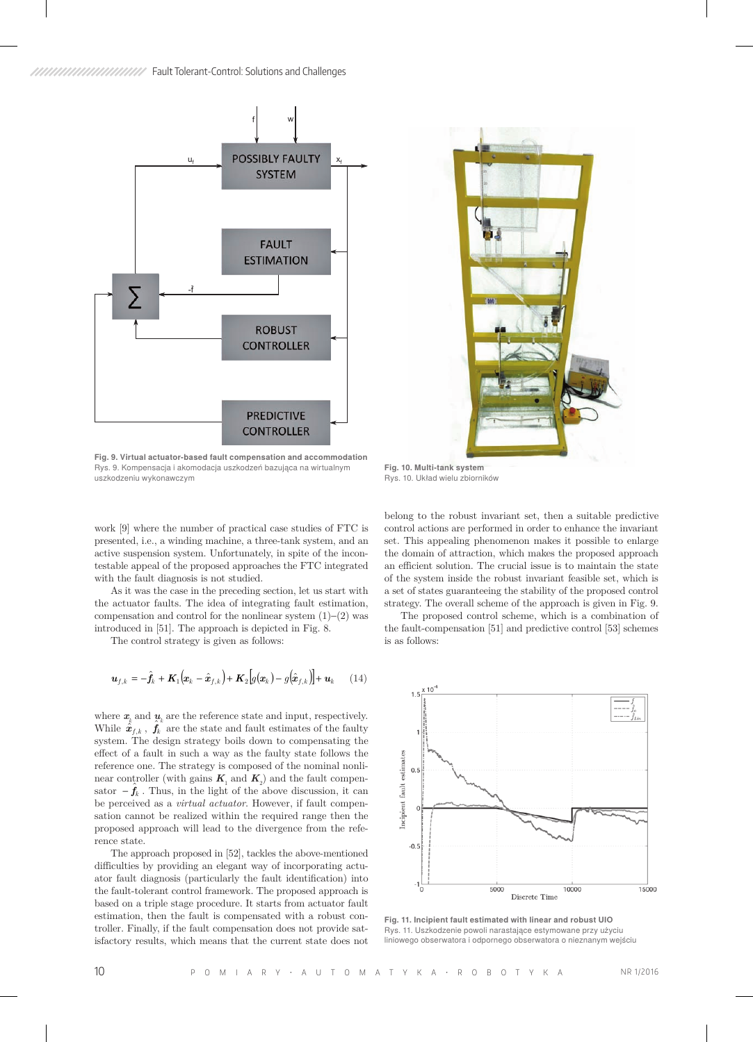



**Fig. 9. Virtual actuator-based fault compensation and accommodation** Rys. 9. Kompensacja i akomodacja uszkodzeń bazująca na wirtualnym uszkodzeniu wykonawczym

**Fig. 10. Multi-tank system** Rys. 10. Układ wielu zbiorników

work [9] where the number of practical case studies of FTC is presented, i.e., a winding machine, a three-tank system, and an active suspension system. Unfortunately, in spite of the incontestable appeal of the proposed approaches the FTC integrated with the fault diagnosis is not studied.

As it was the case in the preceding section, let us start with the actuator faults. The idea of integrating fault estimation, compensation and control for the nonlinear system (1)−(2) was introduced in [51]. The approach is depicted in Fig. 8.

The control strategy is given as follows:

$$
\boldsymbol{u}_{f,k} = -\hat{\boldsymbol{f}}_k + \boldsymbol{K}_1 \big( \boldsymbol{x}_k - \hat{\boldsymbol{x}}_{f,k} \big) + \boldsymbol{K}_2 \big[ g(\boldsymbol{x}_k) - g(\hat{\boldsymbol{x}}_{f,k}) \big] + \boldsymbol{u}_k \qquad (14)
$$

where  $\mathbf{x}_k$  and  $\mathbf{u}_k$  are the reference state and input, respectively. While  $\hat{\hat{\mathbf{z}}}_{f,k}$ ,  $\hat{\mathbf{f}}_k^{\kappa}$  are the state and fault estimates of the faulty system. The design strategy boils down to compensating the effect of a fault in such a way as the faulty state follows the reference one. The strategy is composed of the nominal nonlinear controller (with gains  $K_1$  and  $K_2$ ) and the fault compensator  $-\hat{f}_k$ . Thus, in the light of the above discussion, it can be perceived as a *virtual actuator*. However, if fault compensation cannot be realized within the required range then the proposed approach will lead to the divergence from the reference state.

The approach proposed in [52], tackles the above-mentioned difficulties by providing an elegant way of incorporating actuator fault diagnosis (particularly the fault identification) into the fault-tolerant control framework. The proposed approach is based on a triple stage procedure. It starts from actuator fault estimation, then the fault is compensated with a robust controller. Finally, if the fault compensation does not provide satisfactory results, which means that the current state does not

belong to the robust invariant set, then a suitable predictive control actions are performed in order to enhance the invariant set. This appealing phenomenon makes it possible to enlarge the domain of attraction, which makes the proposed approach an efficient solution. The crucial issue is to maintain the state of the system inside the robust invariant feasible set, which is a set of states guaranteeing the stability of the proposed control strategy. The overall scheme of the approach is given in Fig. 9.

The proposed control scheme, which is a combination of the fault-compensation [51] and predictive control [53] schemes is as follows:



**Fig. 11. Incipient fault estimated with linear and robust UIO** Rys. 11. Uszkodzenie powoli narastające estymowane przy użyciu liniowego obserwatora i odpornego obserwatora o nieznanym wejściu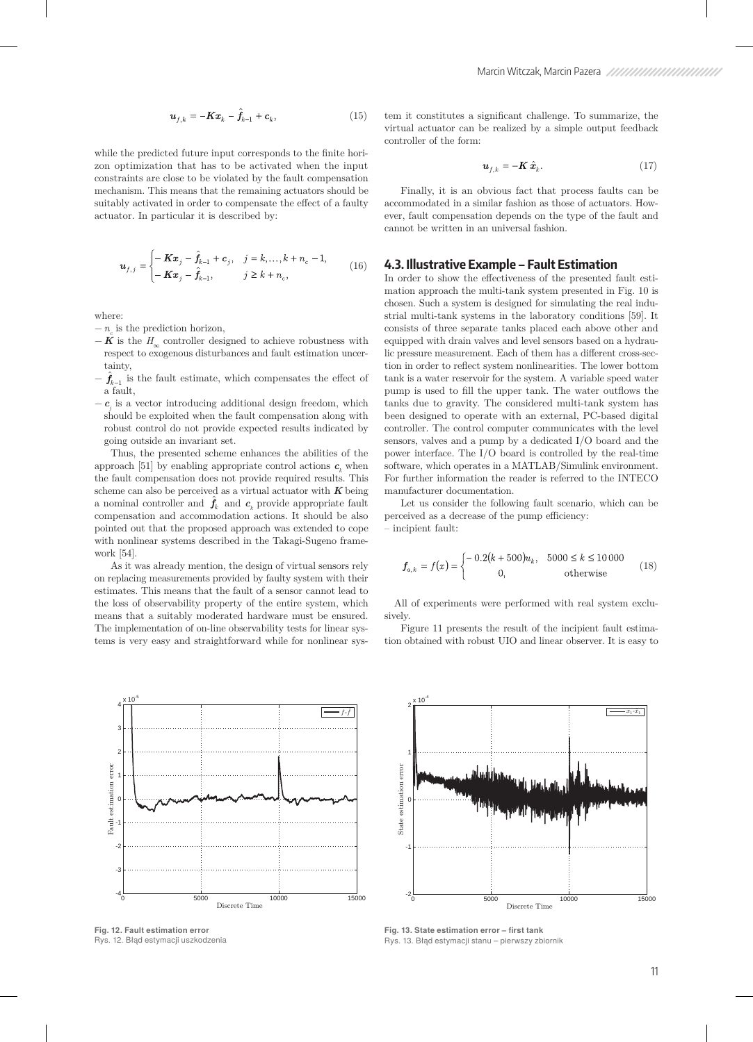$$
\boldsymbol{u}_{f,k} = -\boldsymbol{K}\boldsymbol{x}_k - \hat{\boldsymbol{f}}_{k-1} + \boldsymbol{c}_k,\tag{15}
$$

while the predicted future input corresponds to the finite horizon optimization that has to be activated when the input constraints are close to be violated by the fault compensation mechanism. This means that the remaining actuators should be suitably activated in order to compensate the effect of a faulty actuator. In particular it is described by:

$$
\boldsymbol{\mu}_{f,j} = \begin{cases} -\boldsymbol{K}\boldsymbol{x}_j - \hat{\boldsymbol{f}}_{k-1} + \boldsymbol{c}_j, & j = k,...,k + n_c - 1, \\ -\boldsymbol{K}\boldsymbol{x}_j - \hat{\boldsymbol{f}}_{k-1}, & j \ge k + n_c, \end{cases}
$$
(16)

where:

- $n_c$  is the prediction horizon,
- $-$  **K** is the  $H_{\infty}$  controller designed to achieve robustness with respect to exogenous disturbances and fault estimation uncertainty,
- $-\hat{f}_{k-1}$  is the fault estimate, which compensates the effect of a fault,
- $− c<sub>j</sub>$  is a vector introducing additional design freedom, which should be exploited when the fault compensation along with robust control do not provide expected results indicated by going outside an invariant set.

Thus, the presented scheme enhances the abilities of the approach [51] by enabling appropriate control actions  $c_k$  when the fault compensation does not provide required results. This scheme can also be perceived as a virtual actuator with *K* being a nominal controller and  $\hat{f}_k$  and  $c_k$  provide appropriate fault compensation and accommodation actions. It should be also pointed out that the proposed approach was extended to cope with nonlinear systems described in the Takagi-Sugeno framework [54].

As it was already mention, the design of virtual sensors rely on replacing measurements provided by faulty system with their estimates. This means that the fault of a sensor cannot lead to the loss of observability property of the entire system, which means that a suitably moderated hardware must be ensured. The implementation of on-line observability tests for linear systems is very easy and straightforward while for nonlinear sys-



**Fig. 12. Fault estimation error**  Rys. 12. Błąd estymacji uszkodzenia

tem it constitutes a significant challenge. To summarize, the virtual actuator can be realized by a simple output feedback controller of the form:

$$
\mathbf{u}_{f,k} = -\mathbf{K}\,\hat{\mathbf{x}}_k. \tag{17}
$$

Finally, it is an obvious fact that process faults can be accommodated in a similar fashion as those of actuators. However, fault compensation depends on the type of the fault and cannot be written in an universal fashion.

#### **4.3. Illustrative Example – Fault Estimation**

In order to show the effectiveness of the presented fault estimation approach the multi-tank system presented in Fig. 10 is chosen. Such a system is designed for simulating the real industrial multi-tank systems in the laboratory conditions [59]. It consists of three separate tanks placed each above other and equipped with drain valves and level sensors based on a hydraulic pressure measurement. Each of them has a different cross-section in order to reflect system nonlinearities. The lower bottom tank is a water reservoir for the system. A variable speed water pump is used to fill the upper tank. The water outflows the tanks due to gravity. The considered multi-tank system has been designed to operate with an external, PC-based digital controller. The control computer communicates with the level sensors, valves and a pump by a dedicated I/O board and the power interface. The I/O board is controlled by the real-time software, which operates in a MATLAB/Simulink environment. For further information the reader is referred to the INTECO manufacturer documentation.

Let us consider the following fault scenario, which can be perceived as a decrease of the pump efficiency:

– incipient fault:

$$
\mathbf{f}_{a,k} = f(x) = \begin{cases}\n-0.2(k + 500)u_k, & 5000 \le k \le 10000 \\
0, & \text{otherwise}\n\end{cases}
$$
\n(18)

All of experiments were performed with real system exclusively.

Figure 11 presents the result of the incipient fault estimation obtained with robust UIO and linear observer. It is easy to



**Fig. 13. State estimation error – first tank** Rys. 13. Błąd estymacji stanu – pierwszy zbiornik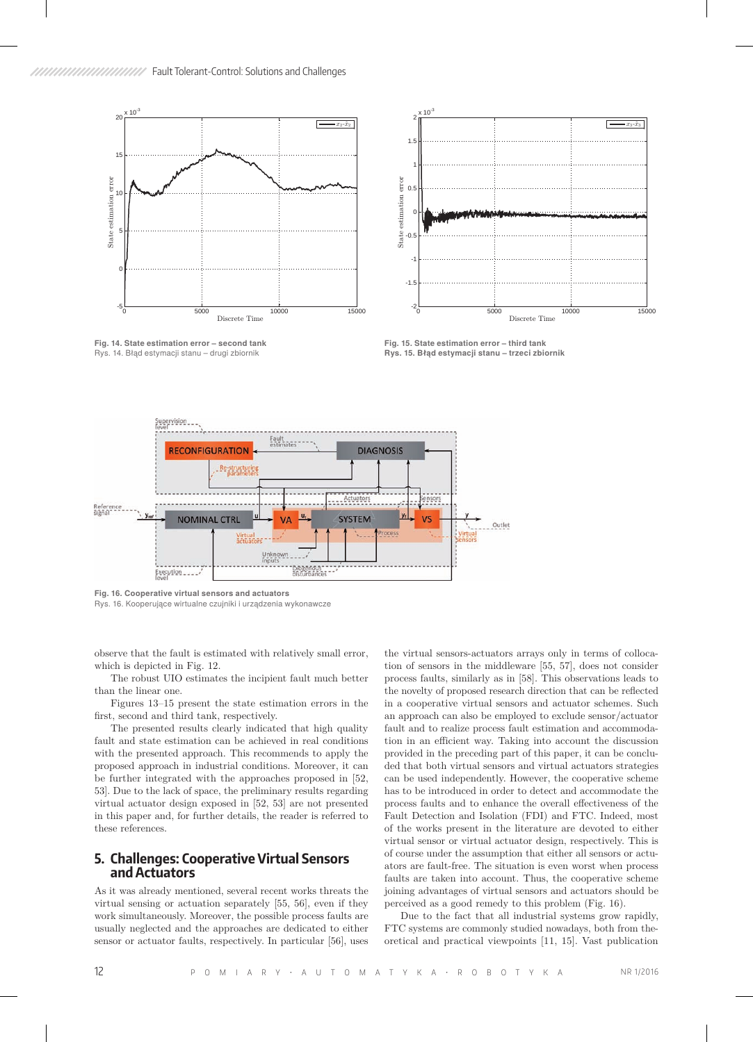

**Fig. 14. State estimation error – second tank** Rys. 14. Błąd estymacji stanu – drugi zbiornik



**Fig. 15. State estimation error – third tank Rys. 15. Błąd estymacji stanu – trzeci zbiornik**



**Fig. 16. Cooperative virtual sensors and actuators**

Rys. 16. Kooperujące wirtualne czujniki i urządzenia wykonawcze

observe that the fault is estimated with relatively small error, which is depicted in Fig. 12.

The robust UIO estimates the incipient fault much better than the linear one.

Figures 13–15 present the state estimation errors in the first, second and third tank, respectively.

The presented results clearly indicated that high quality fault and state estimation can be achieved in real conditions with the presented approach. This recommends to apply the proposed approach in industrial conditions. Moreover, it can be further integrated with the approaches proposed in [52, 53]. Due to the lack of space, the preliminary results regarding virtual actuator design exposed in [52, 53] are not presented in this paper and, for further details, the reader is referred to these references.

#### **5. Challenges: Cooperative Virtual Sensors and Actuators**

As it was already mentioned, several recent works threats the virtual sensing or actuation separately [55, 56], even if they work simultaneously. Moreover, the possible process faults are usually neglected and the approaches are dedicated to either sensor or actuator faults, respectively. In particular [56], uses

the virtual sensors-actuators arrays only in terms of collocation of sensors in the middleware [55, 57], does not consider process faults, similarly as in [58]. This observations leads to the novelty of proposed research direction that can be reflected in a cooperative virtual sensors and actuator schemes. Such an approach can also be employed to exclude sensor/actuator fault and to realize process fault estimation and accommodation in an efficient way. Taking into account the discussion provided in the preceding part of this paper, it can be concluded that both virtual sensors and virtual actuators strategies can be used independently. However, the cooperative scheme has to be introduced in order to detect and accommodate the process faults and to enhance the overall effectiveness of the Fault Detection and Isolation (FDI) and FTC. Indeed, most of the works present in the literature are devoted to either virtual sensor or virtual actuator design, respectively. This is of course under the assumption that either all sensors or actuators are fault-free. The situation is even worst when process faults are taken into account. Thus, the cooperative scheme joining advantages of virtual sensors and actuators should be perceived as a good remedy to this problem (Fig. 16).

Due to the fact that all industrial systems grow rapidly, FTC systems are commonly studied nowadays, both from theoretical and practical viewpoints [11, 15]. Vast publication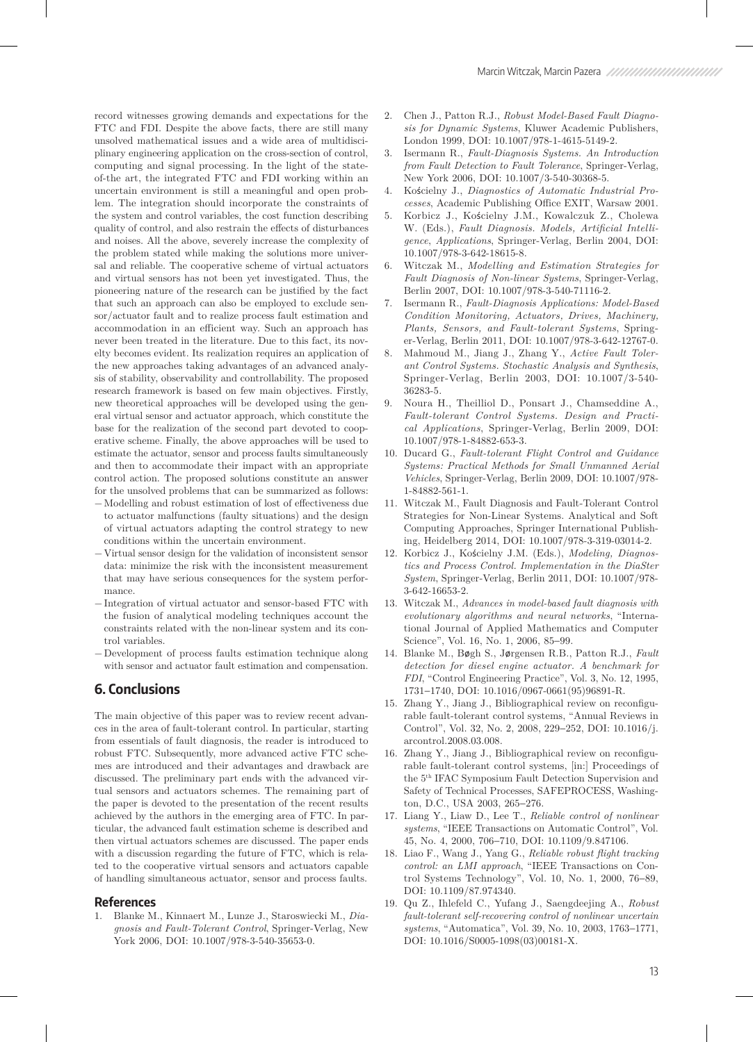record witnesses growing demands and expectations for the FTC and FDI. Despite the above facts, there are still many unsolved mathematical issues and a wide area of multidisciplinary engineering application on the cross-section of control, computing and signal processing. In the light of the stateof-the art, the integrated FTC and FDI working within an uncertain environment is still a meaningful and open problem. The integration should incorporate the constraints of the system and control variables, the cost function describing quality of control, and also restrain the effects of disturbances and noises. All the above, severely increase the complexity of the problem stated while making the solutions more universal and reliable. The cooperative scheme of virtual actuators and virtual sensors has not been yet investigated. Thus, the pioneering nature of the research can be justified by the fact that such an approach can also be employed to exclude sensor/actuator fault and to realize process fault estimation and accommodation in an efficient way. Such an approach has never been treated in the literature. Due to this fact, its novelty becomes evident. Its realization requires an application of the new approaches taking advantages of an advanced analysis of stability, observability and controllability. The proposed research framework is based on few main objectives. Firstly, new theoretical approaches will be developed using the general virtual sensor and actuator approach, which constitute the base for the realization of the second part devoted to cooperative scheme. Finally, the above approaches will be used to estimate the actuator, sensor and process faults simultaneously and then to accommodate their impact with an appropriate control action. The proposed solutions constitute an answer for the unsolved problems that can be summarized as follows:

- − Modelling and robust estimation of lost of effectiveness due to actuator malfunctions (faulty situations) and the design of virtual actuators adapting the control strategy to new conditions within the uncertain environment.
- − Virtual sensor design for the validation of inconsistent sensor data: minimize the risk with the inconsistent measurement that may have serious consequences for the system performance.
- − Integration of virtual actuator and sensor-based FTC with the fusion of analytical modeling techniques account the constraints related with the non-linear system and its control variables.
- − Development of process faults estimation technique along with sensor and actuator fault estimation and compensation.

# **6. Conclusions**

The main objective of this paper was to review recent advances in the area of fault-tolerant control. In particular, starting from essentials of fault diagnosis, the reader is introduced to robust FTC. Subsequently, more advanced active FTC schemes are introduced and their advantages and drawback are discussed. The preliminary part ends with the advanced virtual sensors and actuators schemes. The remaining part of the paper is devoted to the presentation of the recent results achieved by the authors in the emerging area of FTC. In particular, the advanced fault estimation scheme is described and then virtual actuators schemes are discussed. The paper ends with a discussion regarding the future of FTC, which is related to the cooperative virtual sensors and actuators capable of handling simultaneous actuator, sensor and process faults.

#### **References**

1. Blanke M., Kinnaert M., Lunze J., Staroswiecki M., *Diagnosis and Fault-Tolerant Control*, Springer-Verlag, New York 2006, DOI: 10.1007/978-3-540-35653-0.

- 2. Chen J., Patton R.J., *Robust Model-Based Fault Diagnosis for Dynamic Systems*, Kluwer Academic Publishers, London 1999, DOI: 10.1007/978-1-4615-5149-2.
- 3. Isermann R., *Fault-Diagnosis Systems. An Introduction from Fault Detection to Fault Tolerance*, Springer-Verlag, New York 2006, DOI: 10.1007/3-540-30368-5.
- 4. Kościelny J., *Diagnostics of Automatic Industrial Processes*, Academic Publishing Office EXIT, Warsaw 2001.
- 5. Korbicz J., Kościelny J.M., Kowalczuk Z., Cholewa W. (Eds.), *Fault Diagnosis. Models, Artificial Intelligence*, *Applications*, Springer-Verlag, Berlin 2004, DOI: 10.1007/978-3-642-18615-8.
- 6. Witczak M., *Modelling and Estimation Strategies for Fault Diagnosis of Non-linear Systems*, Springer-Verlag, Berlin 2007, DOI: 10.1007/978-3-540-71116-2.
- 7. Isermann R., *Fault-Diagnosis Applications: Model-Based Condition Monitoring, Actuators, Drives, Machinery, Plants, Sensors, and Fault-tolerant Systems*, Springer-Verlag, Berlin 2011, DOI: 10.1007/978-3-642-12767-0.
- 8. Mahmoud M., Jiang J., Zhang Y., *Active Fault Tolerant Control Systems. Stochastic Analysis and Synthesis*, Springer-Verlag, Berlin 2003, DOI: 10.1007/3-540- 36283-5.
- 9. Noura H., Theilliol D., Ponsart J., Chamseddine A., *Fault-tolerant Control Systems. Design and Practical Applications*, Springer-Verlag, Berlin 2009, DOI: 10.1007/978-1-84882-653-3.
- 10. Ducard G., *Fault-tolerant Flight Control and Guidance Systems: Practical Methods for Small Unmanned Aerial Vehicles*, Springer-Verlag, Berlin 2009, DOI: 10.1007/978- 1-84882-561-1.
- 11. Witczak M., Fault Diagnosis and Fault-Tolerant Control Strategies for Non-Linear Systems. Analytical and Soft Computing Approaches, Springer International Publishing, Heidelberg 2014, DOI: 10.1007/978-3-319-03014-2.
- 12. Korbicz J., Kościelny J.M. (Eds.), *Modeling, Diagnostics and Process Control. Implementation in the DiaSter System*, Springer-Verlag, Berlin 2011, DOI: 10.1007/978- 3-642-16653-2.
- 13. Witczak M., *Advances in model-based fault diagnosis with evolutionary algorithms and neural networks*, "International Journal of Applied Mathematics and Computer Science", Vol. 16, No. 1, 2006, 85−99.
- 14. Blanke M., Bøgh S., Jørgensen R.B., Patton R.J., *Fault detection for diesel engine actuator. A benchmark for FDI*, "Control Engineering Practice", Vol. 3, No. 12, 1995, 1731−1740, DOI: 10.1016/0967-0661(95)96891-R.
- 15. Zhang Y., Jiang J., Bibliographical review on reconfigurable fault-tolerant control systems, "Annual Reviews in Control", Vol. 32, No. 2, 2008, 229−252, DOI: 10.1016/j. arcontrol.2008.03.008.
- 16. Zhang Y., Jiang J., Bibliographical review on reconfigurable fault-tolerant control systems, [in:] Proceedings of the 5th IFAC Symposium Fault Detection Supervision and Safety of Technical Processes, SAFEPROCESS, Washington, D.C., USA 2003, 265−276.
- 17. Liang Y., Liaw D., Lee T., *Reliable control of nonlinear systems*, "IEEE Transactions on Automatic Control", Vol. 45, No. 4, 2000, 706−710, DOI: 10.1109/9.847106.
- 18. Liao F., Wang J., Yang G., *Reliable robust flight tracking control: an LMI approach*, "IEEE Transactions on Control Systems Technology", Vol. 10, No. 1, 2000, 76−89, DOI: 10.1109/87.974340.
- 19. Qu Z., Ihlefeld C., Yufang J., Saengdeejing A., *Robust fault-tolerant self-recovering control of nonlinear uncertain systems*, "Automatica", Vol. 39, No. 10, 2003, 1763−1771, DOI: 10.1016/S0005-1098(03)00181-X.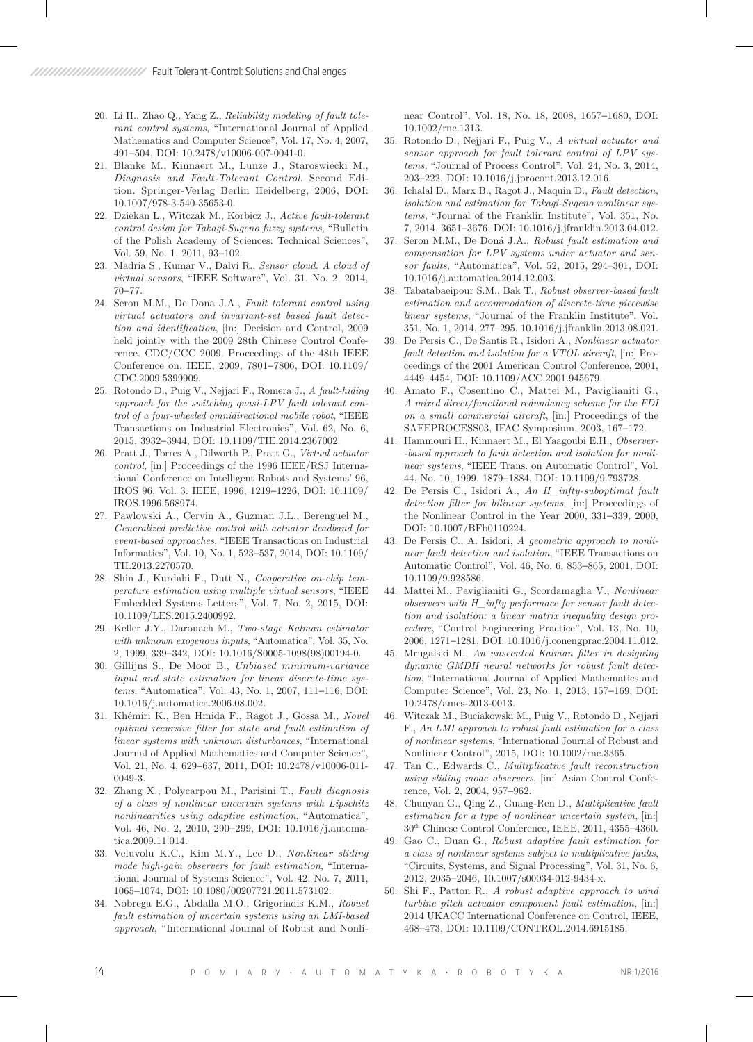- 20. Li H., Zhao Q., Yang Z., *Reliability modeling of fault tolerant control systems*, "International Journal of Applied Mathematics and Computer Science", Vol. 17, No. 4, 2007, 491−504, DOI: 10.2478/v10006-007-0041-0.
- 21. Blanke M., Kinnaert M., Lunze J., Staroswiecki M., *Diagnosis and Fault-Tolerant Control*. Second Edition. Springer-Verlag Berlin Heidelberg, 2006, DOI: 10.1007/978-3-540-35653-0.
- 22. Dziekan L., Witczak M., Korbicz J., *Active fault-tolerant control design for Takagi-Sugeno fuzzy systems*, "Bulletin of the Polish Academy of Sciences: Technical Sciences", Vol. 59, No. 1, 2011, 93−102.
- 23. Madria S., Kumar V., Dalvi R., *Sensor cloud: A cloud of virtual sensors*, "IEEE Software", Vol. 31, No. 2, 2014, 70−77.
- 24. Seron M.M., De Dona J.A., *Fault tolerant control using virtual actuators and invariant-set based fault detection and identification*, [in:] Decision and Control, 2009 held jointly with the 2009 28th Chinese Control Conference. CDC/CCC 2009. Proceedings of the 48th IEEE Conference on. IEEE, 2009, 7801−7806, DOI: 10.1109/ CDC.2009.5399909.
- 25. Rotondo D., Puig V., Nejjari F., Romera J., *A fault-hiding approach for the switching quasi-LPV fault tolerant control of a four-wheeled omnidirectional mobile robot*, "IEEE Transactions on Industrial Electronics", Vol. 62, No. 6, 2015, 3932−3944, DOI: 10.1109/TIE.2014.2367002.
- 26. Pratt J., Torres A., Dilworth P., Pratt G., *Virtual actuator control*, [in:] Proceedings of the 1996 IEEE/RSJ International Conference on Intelligent Robots and Systems' 96, IROS 96, Vol. 3. IEEE, 1996, 1219−1226, DOI: 10.1109/ IROS.1996.568974.
- 27. Pawlowski A., Cervin A., Guzman J.L., Berenguel M., *Generalized predictive control with actuator deadband for event-based approaches*, "IEEE Transactions on Industrial Informatics", Vol. 10, No. 1, 523−537, 2014, DOI: 10.1109/ TII.2013.2270570.
- 28. Shin J., Kurdahi F., Dutt N., *Cooperative on-chip temperature estimation using multiple virtual sensors*, "IEEE Embedded Systems Letters", Vol. 7, No. 2, 2015, DOI: 10.1109/LES.2015.2400992.
- 29. Keller J.Y., Darouach M., *Two-stage Kalman estimator with unknown exogenous inputs*, "Automatica", Vol. 35, No. 2, 1999, 339−342, DOI: 10.1016/S0005-1098(98)00194-0.
- 30. Gillijns S., De Moor B., *Unbiased minimum-variance input and state estimation for linear discrete-time systems*, "Automatica", Vol. 43, No. 1, 2007, 111−116, DOI: 10.1016/j.automatica.2006.08.002.
- 31. Khémiri K., Ben Hmida F., Ragot J., Gossa M., *Novel optimal recursive filter for state and fault estimation of linear systems with unknown disturbances*, "International Journal of Applied Mathematics and Computer Science", Vol. 21, No. 4, 629−637, 2011, DOI: 10.2478/v10006-011- 0049-3.
- 32. Zhang X., Polycarpou M., Parisini T., *Fault diagnosis of a class of nonlinear uncertain systems with Lipschitz nonlinearities using adaptive estimation*, "Automatica", Vol. 46, No. 2, 2010, 290−299, DOI: 10.1016/j.automatica.2009.11.014.
- 33. Veluvolu K.C., Kim M.Y., Lee D., *Nonlinear sliding mode high-gain observers for fault estimation*, "International Journal of Systems Science", Vol. 42, No. 7, 2011, 1065−1074, DOI: 10.1080/00207721.2011.573102.
- 34. Nobrega E.G., Abdalla M.O., Grigoriadis K.M., *Robust fault estimation of uncertain systems using an LMI-based approach*, "International Journal of Robust and Nonli-

near Control", Vol. 18, No. 18, 2008, 1657−1680, DOI: 10.1002/rnc.1313.

- 35. Rotondo D., Nejjari F., Puig V., *A virtual actuator and sensor approach for fault tolerant control of LPV systems*, "Journal of Process Control", Vol. 24, No. 3, 2014, 203−222, DOI: 10.1016/j.jprocont.2013.12.016.
- 36. Ichalal D., Marx B., Ragot J., Maquin D., *Fault detection, isolation and estimation for Takagi-Sugeno nonlinear systems*, "Journal of the Franklin Institute", Vol. 351, No. 7, 2014, 3651−3676, DOI: 10.1016/j.jfranklin.2013.04.012.
- 37. Seron M.M., De Doná J.A., *Robust fault estimation and compensation for LPV systems under actuator and sensor faults*, "Automatica", Vol. 52, 2015, 294–301, DOI: 10.1016/j.automatica.2014.12.003.
- 38. Tabatabaeipour S.M., Bak T., *Robust observer-based fault estimation and accommodation of discrete-time piecewise linear systems*, "Journal of the Franklin Institute", Vol. 351, No. 1, 2014, 277–295, 10.1016/j.jfranklin.2013.08.021.
- 39. De Persis C., De Santis R., Isidori A., *Nonlinear actuator fault detection and isolation for a VTOL aircraft*, [in:] Proceedings of the 2001 American Control Conference, 2001, 4449–4454, DOI: 10.1109/ACC.2001.945679.
- 40. Amato F., Cosentino C., Mattei M., Paviglianiti G., *A mixed direct/functional redundancy scheme for the FDI on a small commercial aircraft*, [in:] Proceedings of the SAFEPROCESS03, IFAC Symposium, 2003, 167−172.
- 41. Hammouri H., Kinnaert M., El Yaagoubi E.H., *Observer- -based approach to fault detection and isolation for nonlinear systems*, "IEEE Trans. on Automatic Control", Vol. 44, No. 10, 1999, 1879−1884, DOI: 10.1109/9.793728.
- 42. De Persis C., Isidori A., *An H\_infty-suboptimal fault detection filter for bilinear systems*, [in:] Proceedings of the Nonlinear Control in the Year 2000, 331−339, 2000, DOI: 10.1007/BFb0110224.
- 43. De Persis C., A. Isidori, *A geometric approach to nonlinear fault detection and isolation*, "IEEE Transactions on Automatic Control", Vol. 46, No. 6, 853−865, 2001, DOI: 10.1109/9.928586.
- 44. Mattei M., Paviglianiti G., Scordamaglia V., *Nonlinear observers with H\_infty performace for sensor fault detection and isolation: a linear matrix inequality design procedure*, "Control Engineering Practice", Vol. 13, No. 10, 2006, 1271−1281, DOI: 10.1016/j.conengprac.2004.11.012.
- 45. Mrugalski M., *An unscented Kalman filter in designing dynamic GMDH neural networks for robust fault detection*, "International Journal of Applied Mathematics and Computer Science", Vol. 23, No. 1, 2013, 157−169, DOI: 10.2478/amcs-2013-0013.
- 46. Witczak M., Buciakowski M., Puig V., Rotondo D., Nejjari F., *An LMI approach to robust fault estimation for a class of nonlinear systems*, "International Journal of Robust and Nonlinear Control", 2015, DOI: 10.1002/rnc.3365.
- 47. Tan C., Edwards C., *Multiplicative fault reconstruction using sliding mode observers*, [in:] Asian Control Conference, Vol. 2, 2004, 957−962.
- 48. Chunyan G., Qing Z., Guang-Ren D., *Multiplicative fault estimation for a type of nonlinear uncertain system*, [in:] 30th Chinese Control Conference, IEEE, 2011, 4355−4360.
- 49. Gao C., Duan G., *Robust adaptive fault estimation for a class of nonlinear systems subject to multiplicative faults*, "Circuits, Systems, and Signal Processing", Vol. 31, No. 6, 2012, 2035−2046, 10.1007/s00034-012-9434-x.
- 50. Shi F., Patton R., *A robust adaptive approach to wind turbine pitch actuator component fault estimation*, [in:] 2014 UKACC International Conference on Control, IEEE, 468−473, DOI: 10.1109/CONTROL.2014.6915185.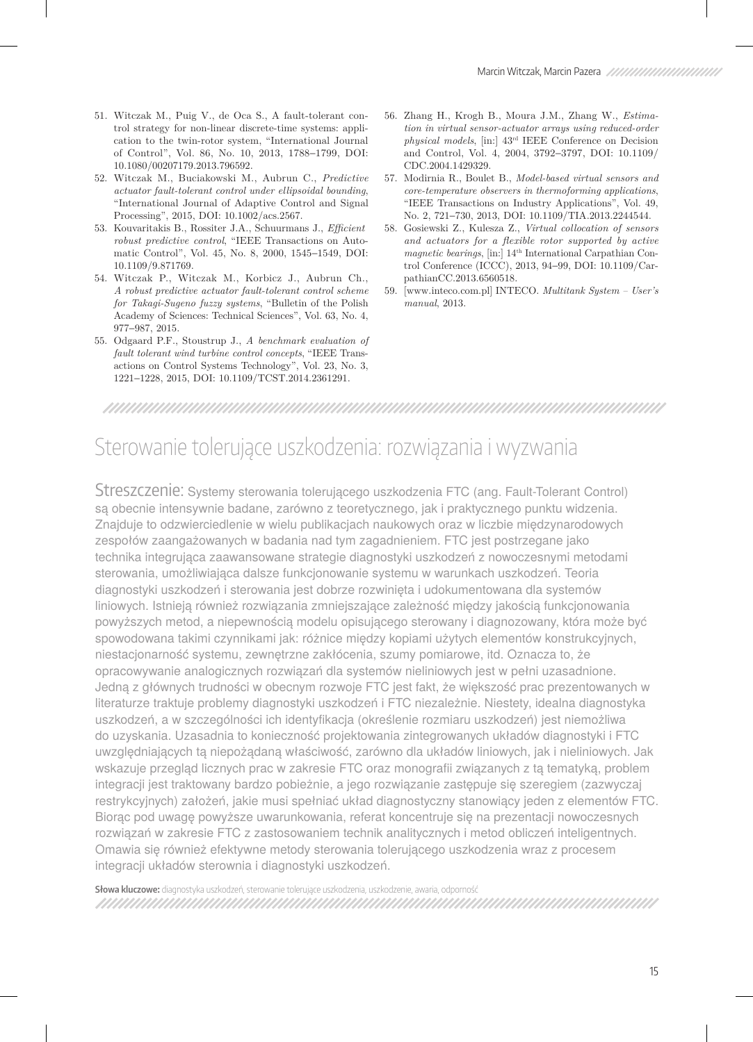- 51. Witczak M., Puig V., de Oca S., A fault-tolerant control strategy for non-linear discrete-time systems: application to the twin-rotor system, "International Journal of Control", Vol. 86, No. 10, 2013, 1788−1799, DOI: 10.1080/00207179.2013.796592.
- 52. Witczak M., Buciakowski M., Aubrun C., *Predictive actuator fault-tolerant control under ellipsoidal bounding*, "International Journal of Adaptive Control and Signal Processing", 2015, DOI: 10.1002/acs.2567.
- 53. Kouvaritakis B., Rossiter J.A., Schuurmans J., *Effcient robust predictive control*, "IEEE Transactions on Automatic Control", Vol. 45, No. 8, 2000, 1545−1549, DOI: 10.1109/9.871769.
- 54. Witczak P., Witczak M., Korbicz J., Aubrun Ch., *A robust predictive actuator fault-tolerant control scheme for Takagi-Sugeno fuzzy systems*, "Bulletin of the Polish Academy of Sciences: Technical Sciences", Vol. 63, No. 4, 977−987, 2015.
- 55. Odgaard P.F., Stoustrup J., *A benchmark evaluation of fault tolerant wind turbine control concepts*, "IEEE Transactions on Control Systems Technology", Vol. 23, No. 3, 1221−1228, 2015, DOI: 10.1109/TCST.2014.2361291.
- 56. Zhang H., Krogh B., Moura J.M., Zhang W., *Estimation in virtual sensor-actuator arrays using reduced-order physical models*, [in:] 43rd IEEE Conference on Decision and Control, Vol. 4, 2004, 3792−3797, DOI: 10.1109/ CDC.2004.1429329.
- 57. Modirnia R., Boulet B., *Model-based virtual sensors and core-temperature observers in thermoforming applications*, "IEEE Transactions on Industry Applications", Vol. 49, No. 2, 721−730, 2013, DOI: 10.1109/TIA.2013.2244544.
- 58. Gosiewski Z., Kulesza Z., *Virtual collocation of sensors and actuators for a flexible rotor supported by active magnetic bearings*, [in:] 14th International Carpathian Control Conference (ICCC), 2013, 94−99, DOI: 10.1109/CarpathianCC.2013.6560518.
- 59. [www.inteco.com.pl] INTECO. *Multitank System User's manual*, 2013.

TIMI MINIMUM MINIMUM MINIMUM MINIMUM MINIMUM MINIMUM M

# Sterowanie tolerujące uszkodzenia: rozwiązania i wyzwania

Streszczenie: Systemy sterowania tolerującego uszkodzenia FTC (ang. Fault-Tolerant Control) są obecnie intensywnie badane, zarówno z teoretycznego, jak i praktycznego punktu widzenia. Znajduje to odzwierciedlenie w wielu publikacjach naukowych oraz w liczbie międzynarodowych zespołów zaangażowanych w badania nad tym zagadnieniem. FTC jest postrzegane jako technika integrująca zaawansowane strategie diagnostyki uszkodzeń z nowoczesnymi metodami sterowania, umożliwiająca dalsze funkcjonowanie systemu w warunkach uszkodzeń. Teoria diagnostyki uszkodzeń i sterowania jest dobrze rozwinięta i udokumentowana dla systemów liniowych. Istnieją również rozwiązania zmniejszające zależność między jakością funkcjonowania powyższych metod, a niepewnością modelu opisującego sterowany i diagnozowany, która może być spowodowana takimi czynnikami jak: różnice między kopiami użytych elementów konstrukcyjnych, niestacjonarność systemu, zewnętrzne zakłócenia, szumy pomiarowe, itd. Oznacza to, że opracowywanie analogicznych rozwiązań dla systemów nieliniowych jest w pełni uzasadnione. Jedną z głównych trudności w obecnym rozwoje FTC jest fakt, że większość prac prezentowanych w literaturze traktuje problemy diagnostyki uszkodzeń i FTC niezależnie. Niestety, idealna diagnostyka uszkodzeń, a w szczególności ich identyfikacja (określenie rozmiaru uszkodzeń) jest niemożliwa do uzyskania. Uzasadnia to konieczność projektowania zintegrowanych układów diagnostyki i FTC uwzględniających tą niepożądaną właściwość, zarówno dla układów liniowych, jak i nieliniowych. Jak wskazuje przegląd licznych prac w zakresie FTC oraz monografii związanych z tą tematyką, problem integracji jest traktowany bardzo pobieżnie, a jego rozwiązanie zastępuje się szeregiem (zazwyczaj restrykcyjnych) założeń, jakie musi spełniać układ diagnostyczny stanowiący jeden z elementów FTC. Biorąc pod uwagę powyższe uwarunkowania, referat koncentruje się na prezentacji nowoczesnych rozwiązań w zakresie FTC z zastosowaniem technik analitycznych i metod obliczeń inteligentnych. Omawia się również efektywne metody sterowania tolerującego uszkodzenia wraz z procesem integracji układów sterownia i diagnostyki uszkodzeń.

**Słowa kluczowe:** diagnostyka uszkodzeń, sterowanie tolerujące uszkodzenia, uszkodzenie, awaria, odporność